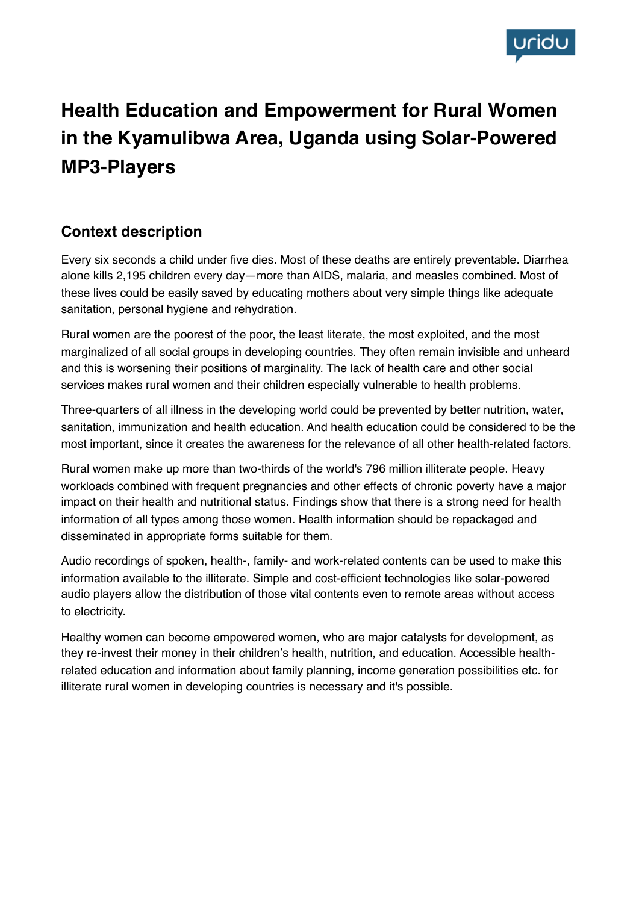

# **Health Education and Empowerment for Rural Women in the Kyamulibwa Area, Uganda using Solar-Powered MP3-Players**

## **Context description**

Every six seconds a child under five dies. Most of these deaths are entirely preventable. Diarrhea alone kills 2,195 children every day—more than AIDS, malaria, and measles combined. Most of these lives could be easily saved by educating mothers about very simple things like adequate sanitation, personal hygiene and rehydration.

Rural women are the poorest of the poor, the least literate, the most exploited, and the most marginalized of all social groups in developing countries. They often remain invisible and unheard and this is worsening their positions of marginality. The lack of health care and other social services makes rural women and their children especially vulnerable to health problems.

Three-quarters of all illness in the developing world could be prevented by better nutrition, water, sanitation, immunization and health education. And health education could be considered to be the most important, since it creates the awareness for the relevance of all other health-related factors.

Rural women make up more than two-thirds of the world's 796 million illiterate people. Heavy workloads combined with frequent pregnancies and other effects of chronic poverty have a major impact on their health and nutritional status. Findings show that there is a strong need for health information of all types among those women. Health information should be repackaged and disseminated in appropriate forms suitable for them.

Audio recordings of spoken, health-, family- and work-related contents can be used to make this information available to the illiterate. Simple and cost-efficient technologies like solar-powered audio players allow the distribution of those vital contents even to remote areas without access to electricity.

Healthy women can become empowered women, who are major catalysts for development, as they re-invest their money in their children's health, nutrition, and education. Accessible healthrelated education and information about family planning, income generation possibilities etc. for illiterate rural women in developing countries is necessary and it's possible.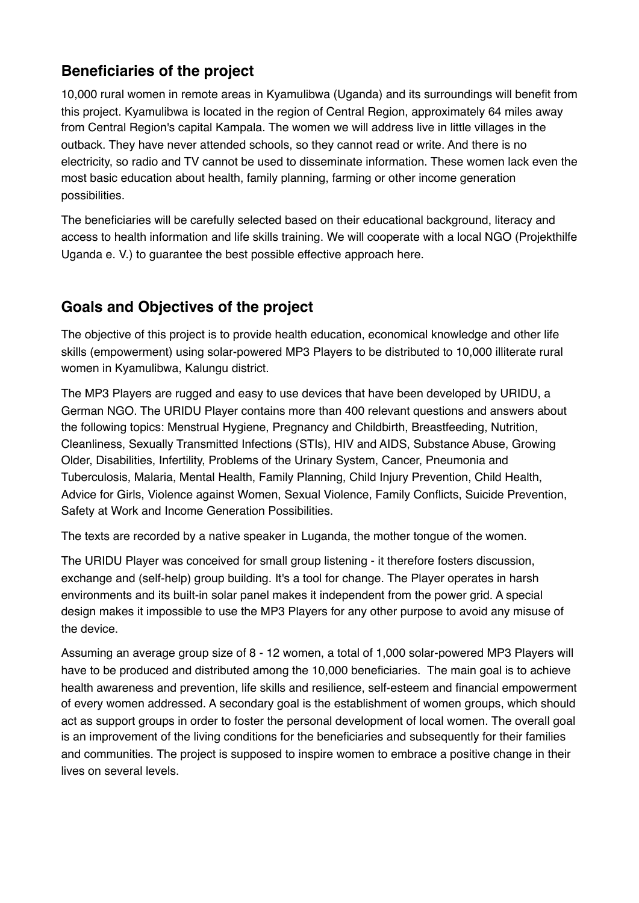# **Beneficiaries of the project**

10,000 rural women in remote areas in Kyamulibwa (Uganda) and its surroundings will benefit from this project. Kyamulibwa is located in the region of Central Region, approximately 64 miles away from Central Region's capital Kampala. The women we will address live in little villages in the outback. They have never attended schools, so they cannot read or write. And there is no electricity, so radio and TV cannot be used to disseminate information. These women lack even the most basic education about health, family planning, farming or other income generation possibilities.

The beneficiaries will be carefully selected based on their educational background, literacy and access to health information and life skills training. We will cooperate with a local NGO (Projekthilfe Uganda e. V.) to guarantee the best possible effective approach here.

## **Goals and Objectives of the project**

The objective of this project is to provide health education, economical knowledge and other life skills (empowerment) using solar-powered MP3 Players to be distributed to 10,000 illiterate rural women in Kyamulibwa, Kalungu district.

The MP3 Players are rugged and easy to use devices that have been developed by URIDU, a German NGO. The URIDU Player contains more than 400 relevant questions and answers about the following topics: Menstrual Hygiene, Pregnancy and Childbirth, Breastfeeding, Nutrition, Cleanliness, Sexually Transmitted Infections (STIs), HIV and AIDS, Substance Abuse, Growing Older, Disabilities, Infertility, Problems of the Urinary System, Cancer, Pneumonia and Tuberculosis, Malaria, Mental Health, Family Planning, Child Injury Prevention, Child Health, Advice for Girls, Violence against Women, Sexual Violence, Family Conflicts, Suicide Prevention, Safety at Work and Income Generation Possibilities.

The texts are recorded by a native speaker in Luganda, the mother tongue of the women.

The URIDU Player was conceived for small group listening - it therefore fosters discussion, exchange and (self-help) group building. It's a tool for change. The Player operates in harsh environments and its built-in solar panel makes it independent from the power grid. A special design makes it impossible to use the MP3 Players for any other purpose to avoid any misuse of the device.

Assuming an average group size of 8 - 12 women, a total of 1,000 solar-powered MP3 Players will have to be produced and distributed among the 10,000 beneficiaries. The main goal is to achieve health awareness and prevention, life skills and resilience, self-esteem and financial empowerment of every women addressed. A secondary goal is the establishment of women groups, which should act as support groups in order to foster the personal development of local women. The overall goal is an improvement of the living conditions for the beneficiaries and subsequently for their families and communities. The project is supposed to inspire women to embrace a positive change in their lives on several levels.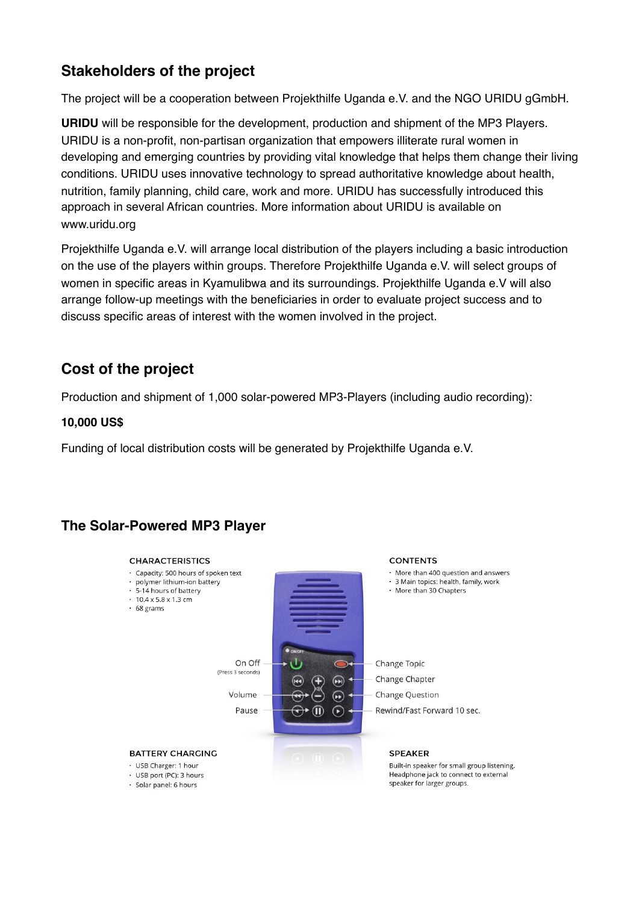# **Stakeholders of the project**

The project will be a cooperation between Projekthilfe Uganda e.V. and the NGO URIDU gGmbH.

**URIDU** will be responsible for the development, production and shipment of the MP3 Players. URIDU is a non-profit, non-partisan organization that empowers illiterate rural women in developing and emerging countries by providing vital knowledge that helps them change their living conditions. URIDU uses innovative technology to spread authoritative knowledge about health, nutrition, family planning, child care, work and more. URIDU has successfully introduced this approach in several African countries. More information about URIDU is available on www.uridu.org

Projekthilfe Uganda e.V. will arrange local distribution of the players including a basic introduction on the use of the players within groups. Therefore Projekthilfe Uganda e.V. will select groups of women in specific areas in Kyamulibwa and its surroundings. Projekthilfe Uganda e.V will also arrange follow-up meetings with the beneficiaries in order to evaluate project success and to discuss specific areas of interest with the women involved in the project.

### **Cost of the project**

Production and shipment of 1,000 solar-powered MP3-Players (including audio recording):

#### **10,000 US\$**

Funding of local distribution costs will be generated by Projekthilfe Uganda e.V.

### **The Solar-Powered MP3 Player**